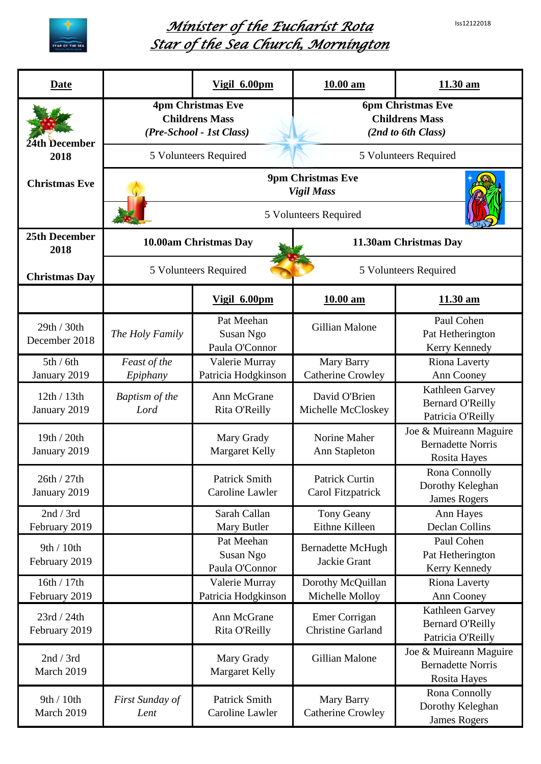



## *Minister of the Eucharist Rota Star of the Sea Church, Mornington*

| <b>Date</b>                                 |                                                                               | Vigil 6.00pm                              | 10.00 am                                                                | 11.30 am                                                                  |  |  |
|---------------------------------------------|-------------------------------------------------------------------------------|-------------------------------------------|-------------------------------------------------------------------------|---------------------------------------------------------------------------|--|--|
| 24th December<br>2018                       | <b>4pm Christmas Eve</b><br><b>Childrens Mass</b><br>(Pre-School - 1st Class) |                                           | <b>6pm Christmas Eve</b><br><b>Childrens Mass</b><br>(2nd to 6th Class) |                                                                           |  |  |
|                                             | 5 Volunteers Required<br>5 Volunteers Required                                |                                           |                                                                         |                                                                           |  |  |
| <b>Christmas Eve</b>                        | <b>9pm Christmas Eve</b><br><b>Vigil Mass</b>                                 |                                           |                                                                         |                                                                           |  |  |
|                                             | 5 Volunteers Required                                                         |                                           |                                                                         |                                                                           |  |  |
| 25th December<br>2018                       |                                                                               | 10.00am Christmas Day                     | 11.30am Christmas Day                                                   |                                                                           |  |  |
| <b>Christmas Day</b>                        |                                                                               | 5 Volunteers Required                     | 5 Volunteers Required                                                   |                                                                           |  |  |
|                                             |                                                                               | Vigil 6.00pm                              | $10.00$ am                                                              | 11.30 am                                                                  |  |  |
| 29th / 30th<br>December 2018                | The Holy Family                                                               | Pat Meehan<br>Susan Ngo<br>Paula O'Connor | Gillian Malone                                                          | Paul Cohen<br>Pat Hetherington<br>Kerry Kennedy                           |  |  |
| 5th/6th                                     | Feast of the                                                                  | Valerie Murray<br>Patricia Hodgkinson     | Mary Barry<br><b>Catherine Crowley</b>                                  | Riona Laverty<br>Ann Cooney                                               |  |  |
| January 2019<br>12th / 13th<br>January 2019 | Epiphany<br>Baptism of the<br>Lord                                            | Ann McGrane<br>Rita O'Reilly              | David O'Brien<br>Michelle McCloskey                                     | Kathleen Garvey<br><b>Bernard O'Reilly</b><br>Patricia O'Reilly           |  |  |
| 19th / 20th<br>January 2019                 |                                                                               | Mary Grady<br><b>Margaret Kelly</b>       | Norine Maher<br>Ann Stapleton                                           | Joe & Muireann Maguire<br><b>Bernadette Norris</b><br>Rosita Hayes        |  |  |
| 26th / 27th<br>January 2019                 |                                                                               | <b>Patrick Smith</b><br>Caroline Lawler   | <b>Patrick Curtin</b><br>Carol Fitzpatrick                              | Rona Connolly<br>Dorothy Keleghan<br><b>James Rogers</b>                  |  |  |
| 2nd / 3rd<br>February 2019                  |                                                                               | Sarah Callan<br>Mary Butler               | Tony Geany<br>Eithne Killeen                                            | Ann Hayes<br>Declan Collins                                               |  |  |
| 9th / 10th<br>February 2019                 |                                                                               | Pat Meehan<br>Susan Ngo<br>Paula O'Connor | <b>Bernadette McHugh</b><br>Jackie Grant                                | Paul Cohen<br>Pat Hetherington<br>Kerry Kennedy                           |  |  |
| 16th / 17th<br>February 2019                |                                                                               | Valerie Murray<br>Patricia Hodgkinson     | Dorothy McQuillan<br>Michelle Molloy                                    | <b>Riona Laverty</b><br>Ann Cooney                                        |  |  |
| 23rd / 24th<br>February 2019                |                                                                               | Ann McGrane<br>Rita O'Reilly              | Emer Corrigan<br><b>Christine Garland</b>                               | Kathleen Garvey<br><b>Bernard O'Reilly</b><br>Patricia O'Reilly           |  |  |
| 2nd / 3rd<br>March 2019                     |                                                                               | Mary Grady<br><b>Margaret Kelly</b>       | Gillian Malone                                                          | Joe & Muireann Maguire<br><b>Bernadette Norris</b><br><b>Rosita Hayes</b> |  |  |
| 9th / 10th<br>March 2019                    | First Sunday of<br>Lent                                                       | <b>Patrick Smith</b><br>Caroline Lawler   | Mary Barry<br><b>Catherine Crowley</b>                                  | Rona Connolly<br>Dorothy Keleghan<br><b>James Rogers</b>                  |  |  |